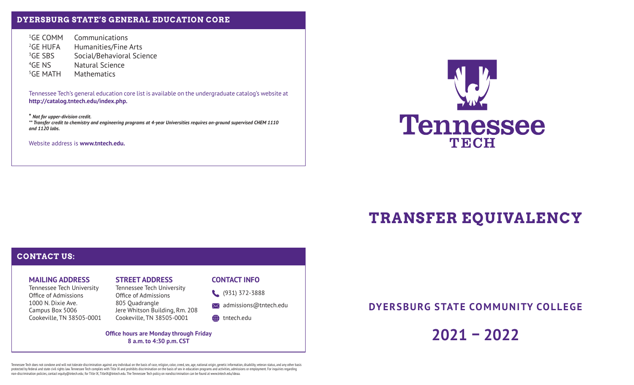## **DYERSBURG STATE'S GENERAL EDUCATION CORE**

<sup>1</sup>GE COMM Communications <sup>2</sup>GE HUFA Humanities/Fine Arts <sup>3</sup>GE SBS Social/Behavioral Science 4GE NS Natural Science 5GE MATH Mathematics

Tennessee Tech's general education core list is available on the undergraduate catalog's website at **http://catalog.tntech.edu/index.php.**

**\*** *Not for upper-division credit. \*\* Transfer credit to chemistry and engineering programs at 4-year Universities requires on-ground supervised CHEM 1110 and 1120 labs.*

Website address is **www.tntech.edu.**



# **TRANSFER EQUIVALENCY**

## **CONTACT US:**

### **MAILING ADDRESS**

Tennessee Tech University Office of Admissions 1000 N. Dixie Ave.Campus Box 5006 Cookeville, TN 38505-0001

## **STREET ADDRESS**

Tennessee Tech University Office of Admissions 805 Quadrangle Jere Whitson Building, Rm. 208 Cookeville, TN 38505-0001

#### **CONTACT INFO**

(931) 372-3888

 $\bowtie$  admissions@tntech.edu

tntech.edu

**Office hours are Monday through Friday 8 a.m. to 4:30 p.m. CST**

**DYERSBURG STATE COMMUNITY COLLEGE**

**2021 – 2022**

Tennessee Tech does not condone and will not tolerate discrimination against any individual on the basis of race, religion, color, creed, sex, age, national origin, genetic information, disability, veteran status, and any protected by federal and state civil rights law. Tennessee Tech complies with Title IX and prohibits discrimination on the basis of sex in education programs and activities, admissions or employment. For inquiries regarding non-discrimination policies, contact equity@tntech.edu; for Title IX, TitleIX@tntech.edu. The Tennessee Tech policy on nondiscrimination can be found at www.tntech.edu/ideaa.